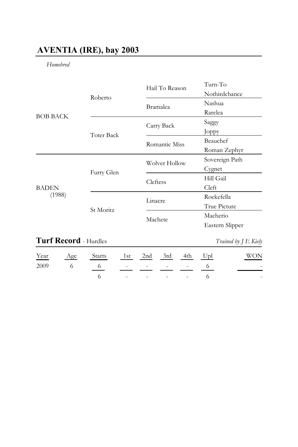# **AVENTIA (IRE), bay 2003**

## *Homebred*

| <b>BOB BACK</b>        |                   | Hail To Reason | Turn-To         |
|------------------------|-------------------|----------------|-----------------|
|                        | Roberto           |                | Nothirdchance   |
|                        |                   | Bramalea       | Nashua          |
|                        |                   |                | Rarelea         |
|                        |                   | Carry Back     | Saggy           |
|                        | <b>Toter Back</b> |                | Joppy           |
|                        |                   | Romantic Miss  | Beauchef        |
|                        |                   |                | Roman Zephyr    |
| <b>BADEN</b><br>(1988) |                   | Wolver Hollow  | Sovereign Path  |
|                        | Furry Glen        |                | Cygnet          |
|                        |                   | Cleftess       | Hill Gail       |
|                        |                   |                | Cleft           |
|                        |                   | Linacre        | Rockefella      |
|                        | St Moritz         |                | True Picture    |
|                        |                   | Machete        | Macherio        |
|                        |                   |                | Eastern Slipper |
|                        |                   |                |                 |

## **Turf Record** - Hurdles *Trained by J E Kiely*

|  | <u>Year Age Starts 1st 2nd 3rd 4th Upl</u> |                                                  |  |  | <b>WON</b>             |
|--|--------------------------------------------|--------------------------------------------------|--|--|------------------------|
|  | $2009$ 6 6 - - - - 6                       |                                                  |  |  | and the company of     |
|  |                                            | $6 \qquad - \qquad - \qquad - \qquad - \qquad 6$ |  |  | and the control of the |